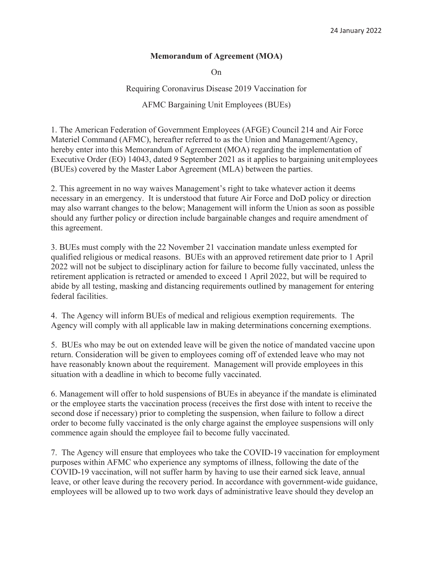## **Memorandum of Agreement (MOA)**

On

Requiring Coronavirus Disease 2019 Vaccination for

AFMC Bargaining Unit Employees (BUEs)

1. The American Federation of Government Employees (AFGE) Council 214 and Air Force Materiel Command (AFMC), hereafter referred to as the Union and Management/Agency, hereby enter into this Memorandum of Agreement (MOA) regarding the implementation of Executive Order (EO) 14043, dated 9 September 2021 as it applies to bargaining unit employees (BUEs) covered by the Master Labor Agreement (MLA) between the parties.

2. This agreement in no way waives Management's right to take whatever action it deems necessary in an emergency. It is understood that future Air Force and DoD policy or direction may also warrant changes to the below; Management will inform the Union as soon as possible should any further policy or direction include bargainable changes and require amendment of this agreement.

3. BUEs must comply with the 22 November 21 vaccination mandate unless exempted for qualified religious or medical reasons. BUEs with an approved retirement date prior to 1 April 2022 will not be subject to disciplinary action for failure to become fully vaccinated, unless the retirement application is retracted or amended to exceed 1 April 2022, but will be required to abide by all testing, masking and distancing requirements outlined by management for entering federal facilities.

4. The Agency will inform BUEs of medical and religious exemption requirements. The Agency will comply with all applicable law in making determinations concerning exemptions.

5. BUEs who may be out on extended leave will be given the notice of mandated vaccine upon return. Consideration will be given to employees coming off of extended leave who may not have reasonably known about the requirement. Management will provide employees in this situation with a deadline in which to become fully vaccinated.

6. Management will offer to hold suspensions of BUEs in abeyance if the mandate is eliminated or the employee starts the vaccination process (receives the first dose with intent to receive the second dose if necessary) prior to completing the suspension, when failure to follow a direct order to become fully vaccinated is the only charge against the employee suspensions will only commence again should the employee fail to become fully vaccinated.

7. The Agency will ensure that employees who take the COVID-19 vaccination for employment purposes within AFMC who experience any symptoms of illness, following the date of the COVID-19 vaccination, will not suffer harm by having to use their earned sick leave, annual leave, or other leave during the recovery period. In accordance with government-wide guidance, employees will be allowed up to two work days of administrative leave should they develop an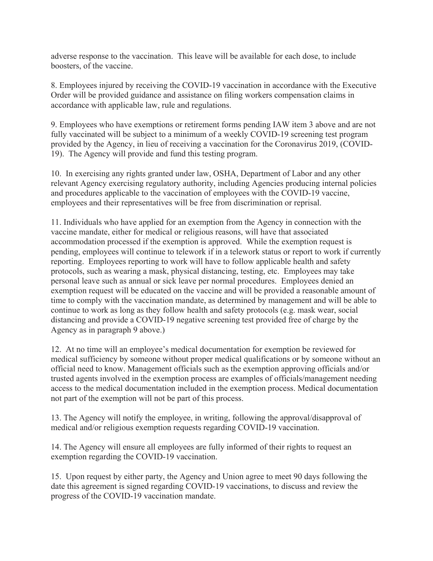adverse response to the vaccination. This leave will be available for each dose, to include boosters, of the vaccine.

8. Employees injured by receiving the COVID-19 vaccination in accordance with the Executive Order will be provided guidance and assistance on filing workers compensation claims in accordance with applicable law, rule and regulations.

9. Employees who have exemptions or retirement forms pending IAW item 3 above and are not fully vaccinated will be subject to a minimum of a weekly COVID-19 screening test program provided by the Agency, in lieu of receiving a vaccination for the Coronavirus 2019, (COVID-19). The Agency will provide and fund this testing program.

10. In exercising any rights granted under law, OSHA, Department of Labor and any other relevant Agency exercising regulatory authority, including Agencies producing internal policies and procedures applicable to the vaccination of employees with the COVID-19 vaccine, employees and their representatives will be free from discrimination or reprisal.

11. Individuals who have applied for an exemption from the Agency in connection with the vaccine mandate, either for medical or religious reasons, will have that associated accommodation processed if the exemption is approved. While the exemption request is pending, employees will continue to telework if in a telework status or report to work if currently reporting. Employees reporting to work will have to follow applicable health and safety protocols, such as wearing a mask, physical distancing, testing, etc. Employees may take personal leave such as annual or sick leave per normal procedures. Employees denied an exemption request will be educated on the vaccine and will be provided a reasonable amount of time to comply with the vaccination mandate, as determined by management and will be able to continue to work as long as they follow health and safety protocols (e.g. mask wear, social distancing and provide a COVID-19 negative screening test provided free of charge by the Agency as in paragraph 9 above.)

12. At no time will an employee's medical documentation for exemption be reviewed for medical sufficiency by someone without proper medical qualifications or by someone without an official need to know. Management officials such as the exemption approving officials and/or trusted agents involved in the exemption process are examples of officials/management needing access to the medical documentation included in the exemption process. Medical documentation not part of the exemption will not be part of this process.

13. The Agency will notify the employee, in writing, following the approval/disapproval of medical and/or religious exemption requests regarding COVID-19 vaccination.

14. The Agency will ensure all employees are fully informed of their rights to request an exemption regarding the COVID-19 vaccination.

15. Upon request by either party, the Agency and Union agree to meet 90 days following the date this agreement is signed regarding COVID-19 vaccinations, to discuss and review the progress of the COVID-19 vaccination mandate.